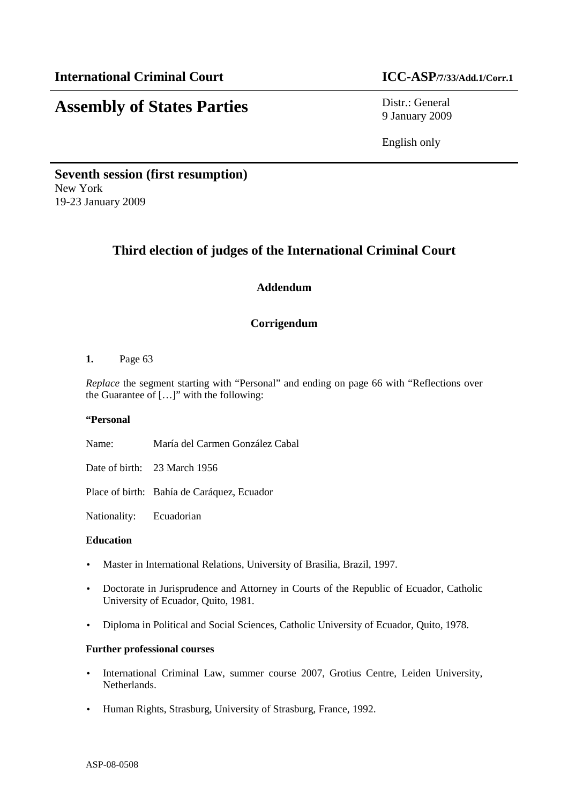# **Assembly of States Parties** Distr.: General

9 January 2009

English only

**Seventh session (first resumption)**  New York 19-23 January 2009

# **Third election of judges of the International Criminal Court**

# **Addendum**

# **Corrigendum**

#### **1.** Page 63

*Replace* the segment starting with "Personal" and ending on page 66 with "Reflections over the Guarantee of […]" with the following:

#### **"Personal**

Name: María del Carmen González Cabal

Date of birth: 23 March 1956

Place of birth: Bahía de Caráquez, Ecuador

Nationality: Ecuadorian

#### **Education**

- Master in International Relations, University of Brasilia, Brazil, 1997.
- Doctorate in Jurisprudence and Attorney in Courts of the Republic of Ecuador, Catholic University of Ecuador, Quito, 1981.
- Diploma in Political and Social Sciences, Catholic University of Ecuador, Quito, 1978.

#### **Further professional courses**

- International Criminal Law, summer course 2007, Grotius Centre, Leiden University, Netherlands.
- Human Rights, Strasburg, University of Strasburg, France, 1992.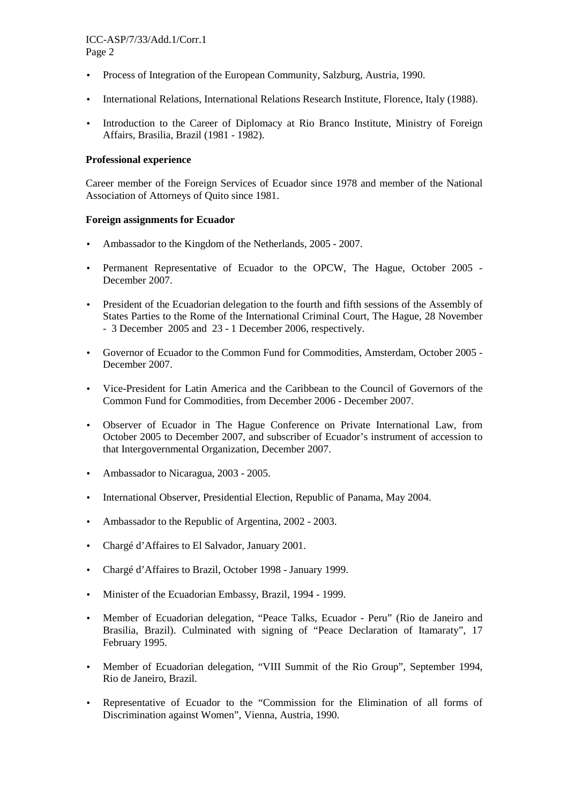- Process of Integration of the European Community, Salzburg, Austria, 1990.
- International Relations, International Relations Research Institute, Florence, Italy (1988).
- Introduction to the Career of Diplomacy at Rio Branco Institute, Ministry of Foreign Affairs, Brasilia, Brazil (1981 - 1982).

#### **Professional experience**

Career member of the Foreign Services of Ecuador since 1978 and member of the National Association of Attorneys of Quito since 1981.

#### **Foreign assignments for Ecuador**

- Ambassador to the Kingdom of the Netherlands, 2005 2007.
- Permanent Representative of Ecuador to the OPCW, The Hague, October 2005 -December 2007.
- President of the Ecuadorian delegation to the fourth and fifth sessions of the Assembly of States Parties to the Rome of the International Criminal Court, The Hague, 28 November - 3 December 2005 and 23 - 1 December 2006, respectively.
- Governor of Ecuador to the Common Fund for Commodities, Amsterdam, October 2005 December 2007.
- Vice-President for Latin America and the Caribbean to the Council of Governors of the Common Fund for Commodities, from December 2006 - December 2007.
- Observer of Ecuador in The Hague Conference on Private International Law, from October 2005 to December 2007, and subscriber of Ecuador's instrument of accession to that Intergovernmental Organization, December 2007.
- Ambassador to Nicaragua, 2003 2005.
- International Observer, Presidential Election, Republic of Panama, May 2004.
- Ambassador to the Republic of Argentina, 2002 2003.
- Chargé d'Affaires to El Salvador, January 2001.
- Chargé d'Affaires to Brazil, October 1998 January 1999.
- Minister of the Ecuadorian Embassy, Brazil, 1994 1999.
- Member of Ecuadorian delegation, "Peace Talks, Ecuador Peru" (Rio de Janeiro and Brasilia, Brazil). Culminated with signing of "Peace Declaration of Itamaraty", 17 February 1995.
- Member of Ecuadorian delegation, "VIII Summit of the Rio Group", September 1994, Rio de Janeiro, Brazil.
- Representative of Ecuador to the "Commission for the Elimination of all forms of Discrimination against Women", Vienna, Austria, 1990.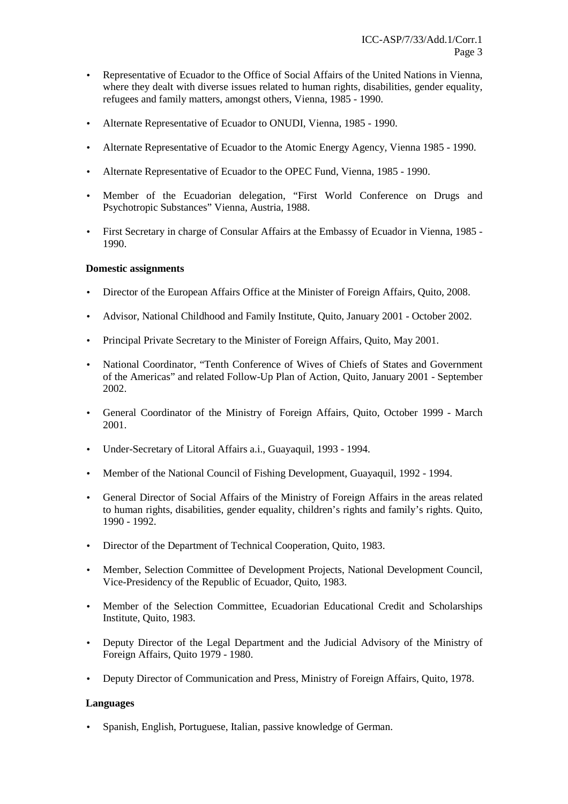- Representative of Ecuador to the Office of Social Affairs of the United Nations in Vienna, where they dealt with diverse issues related to human rights, disabilities, gender equality, refugees and family matters, amongst others, Vienna, 1985 - 1990.
- Alternate Representative of Ecuador to ONUDI, Vienna, 1985 1990.
- Alternate Representative of Ecuador to the Atomic Energy Agency, Vienna 1985 1990.
- Alternate Representative of Ecuador to the OPEC Fund, Vienna, 1985 1990.
- Member of the Ecuadorian delegation, "First World Conference on Drugs and Psychotropic Substances" Vienna, Austria, 1988.
- First Secretary in charge of Consular Affairs at the Embassy of Ecuador in Vienna, 1985 1990.

#### **Domestic assignments**

- Director of the European Affairs Office at the Minister of Foreign Affairs, Quito, 2008.
- Advisor, National Childhood and Family Institute, Quito, January 2001 October 2002.
- Principal Private Secretary to the Minister of Foreign Affairs, Ouito, May 2001.
- National Coordinator, "Tenth Conference of Wives of Chiefs of States and Government of the Americas" and related Follow-Up Plan of Action, Quito, January 2001 - September 2002.
- General Coordinator of the Ministry of Foreign Affairs, Quito, October 1999 March 2001.
- Under-Secretary of Litoral Affairs a.i., Guayaquil, 1993 1994.
- Member of the National Council of Fishing Development, Guayaquil, 1992 1994.
- General Director of Social Affairs of the Ministry of Foreign Affairs in the areas related to human rights, disabilities, gender equality, children's rights and family's rights. Quito, 1990 - 1992.
- Director of the Department of Technical Cooperation, Quito, 1983.
- Member, Selection Committee of Development Projects, National Development Council, Vice-Presidency of the Republic of Ecuador, Quito, 1983.
- Member of the Selection Committee, Ecuadorian Educational Credit and Scholarships Institute, Quito, 1983.
- Deputy Director of the Legal Department and the Judicial Advisory of the Ministry of Foreign Affairs, Quito 1979 - 1980.
- Deputy Director of Communication and Press, Ministry of Foreign Affairs, Quito, 1978.

#### **Languages**

• Spanish, English, Portuguese, Italian, passive knowledge of German.